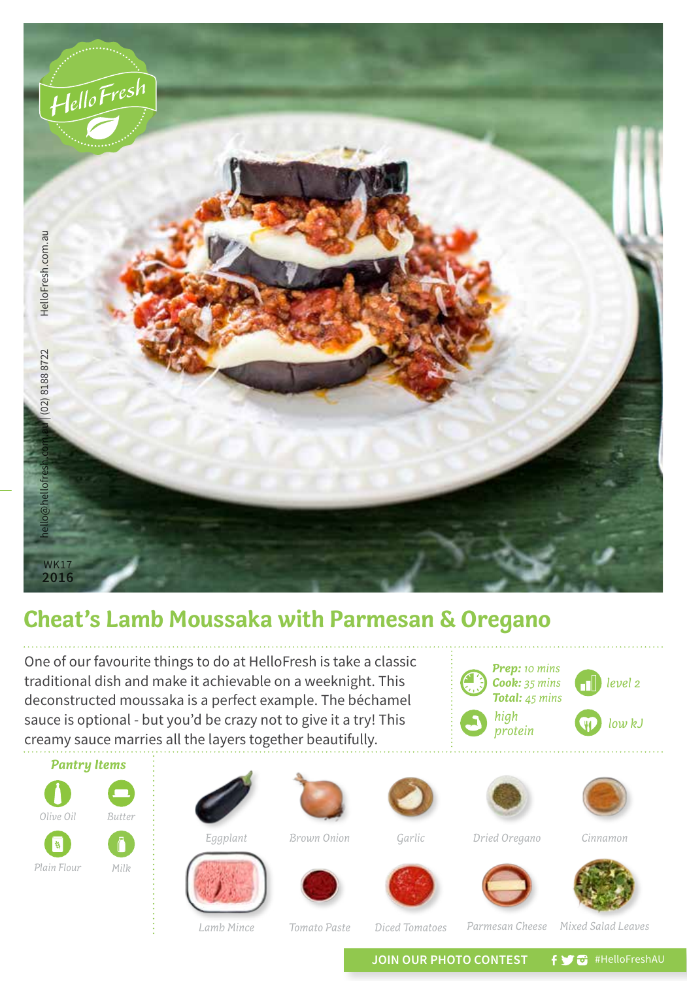

## **Cheat's Lamb Moussaka with Parmesan & Oregano**

One of our favourite things to do at HelloFresh is take a classic traditional dish and make it achievable on a weeknight. This deconstructed moussaka is a perfect example. The béchamel sauce is optional - but you'd be crazy not to give it a try! This creamy sauce marries all the layers together beautifully.





*Tomato Paste*

JOIN OUR PHOTO CONTEST **fy @** #HelloFreshAU

*Parmesan Cheese*

*Lamb Mince Mixed Salad Leaves*

*Diced Tomatoes*